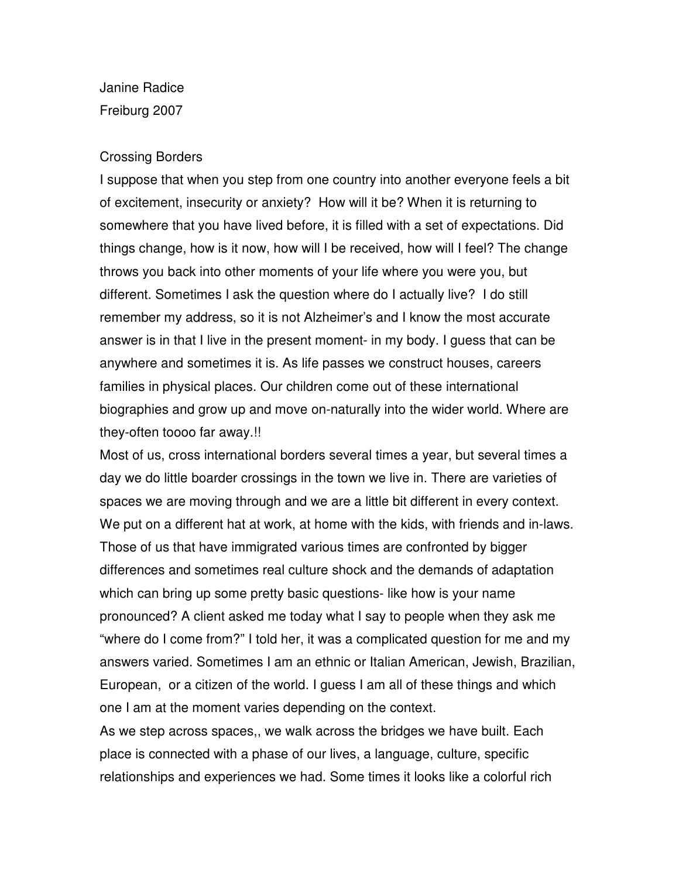Janine Radice Freiburg 2007

## Crossing Borders

I suppose that when you step from one country into another everyone feels a bit of excitement, insecurity or anxiety? How will it be? When it is returning to somewhere that you have lived before, it is filled with a set of expectations. Did things change, how is it now, how will I be received, how will I feel? The change throws you back into other moments of your life where you were you, but different. Sometimes I ask the question where do I actually live? I do still remember my address, so it is not Alzheimer's and I know the most accurate answer is in that I live in the present moment- in my body. I guess that can be anywhere and sometimes it is. As life passes we construct houses, careers families in physical places. Our children come out of these international biographies and grow up and move on-naturally into the wider world. Where are they-often toooo far away.!!

Most of us, cross international borders several times a year, but several times a day we do little boarder crossings in the town we live in. There are varieties of spaces we are moving through and we are a little bit different in every context. We put on a different hat at work, at home with the kids, with friends and in-laws. Those of us that have immigrated various times are confronted by bigger differences and sometimes real culture shock and the demands of adaptation which can bring up some pretty basic questions- like how is your name pronounced? A client asked me today what I say to people when they ask me "where do I come from?" I told her, it was a complicated question for me and my answers varied. Sometimes I am an ethnic or Italian American, Jewish, Brazilian, European, or a citizen of the world. I guess I am all of these things and which one I am at the moment varies depending on the context.

As we step across spaces,, we walk across the bridges we have built. Each place is connected with a phase of our lives, a language, culture, specific relationships and experiences we had. Some times it looks like a colorful rich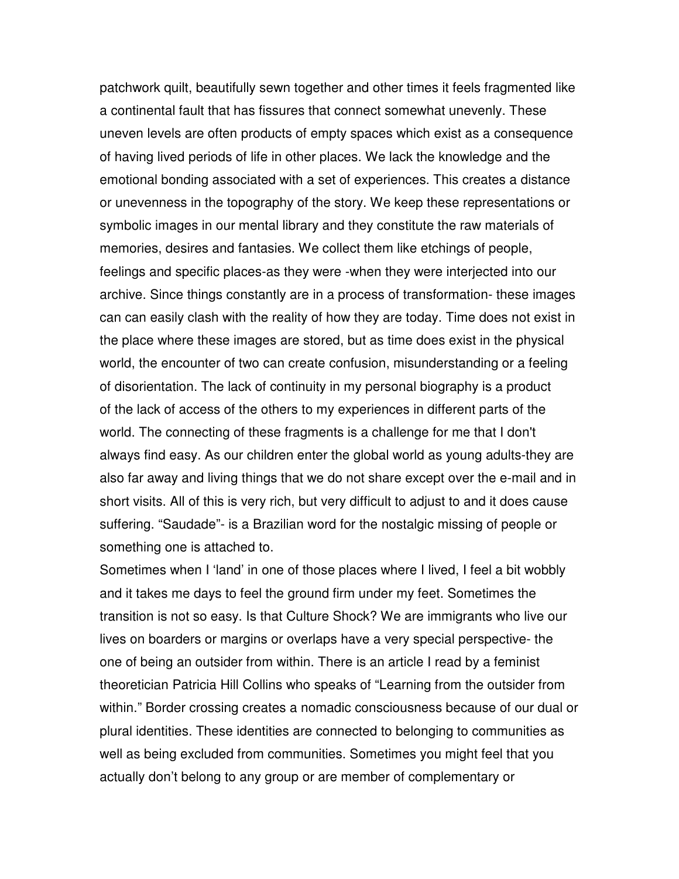patchwork quilt, beautifully sewn together and other times it feels fragmented like a continental fault that has fissures that connect somewhat unevenly. These uneven levels are often products of empty spaces which exist as a consequence of having lived periods of life in other places. We lack the knowledge and the emotional bonding associated with a set of experiences. This creates a distance or unevenness in the topography of the story. We keep these representations or symbolic images in our mental library and they constitute the raw materials of memories, desires and fantasies. We collect them like etchings of people, feelings and specific places-as they were -when they were interjected into our archive. Since things constantly are in a process of transformation- these images can can easily clash with the reality of how they are today. Time does not exist in the place where these images are stored, but as time does exist in the physical world, the encounter of two can create confusion, misunderstanding or a feeling of disorientation. The lack of continuity in my personal biography is a product of the lack of access of the others to my experiences in different parts of the world. The connecting of these fragments is a challenge for me that I don't always find easy. As our children enter the global world as young adults-they are also far away and living things that we do not share except over the e-mail and in short visits. All of this is very rich, but very difficult to adjust to and it does cause suffering. "Saudade"- is a Brazilian word for the nostalgic missing of people or something one is attached to.

Sometimes when I 'land' in one of those places where I lived, I feel a bit wobbly and it takes me days to feel the ground firm under my feet. Sometimes the transition is not so easy. Is that Culture Shock? We are immigrants who live our lives on boarders or margins or overlaps have a very special perspective- the one of being an outsider from within. There is an article I read by a feminist theoretician Patricia Hill Collins who speaks of "Learning from the outsider from within." Border crossing creates a nomadic consciousness because of our dual or plural identities. These identities are connected to belonging to communities as well as being excluded from communities. Sometimes you might feel that you actually don't belong to any group or are member of complementary or